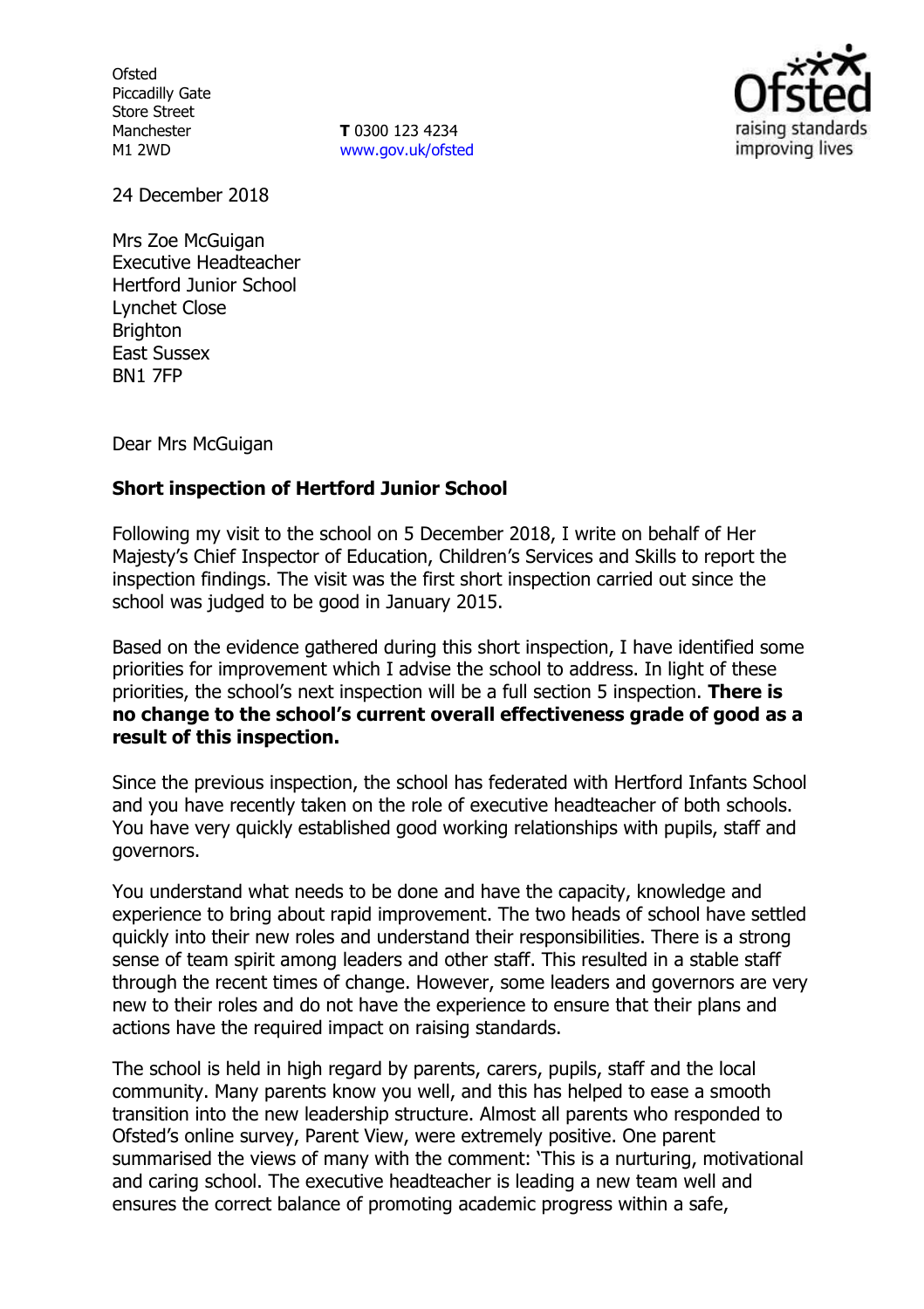**Ofsted** Piccadilly Gate Store Street Manchester M1 2WD

**T** 0300 123 4234 www.gov.uk/ofsted



24 December 2018

Mrs Zoe McGuigan Executive Headteacher Hertford Junior School Lynchet Close **Brighton** East Sussex BN1 7FP

Dear Mrs McGuigan

# **Short inspection of Hertford Junior School**

Following my visit to the school on 5 December 2018, I write on behalf of Her Majesty's Chief Inspector of Education, Children's Services and Skills to report the inspection findings. The visit was the first short inspection carried out since the school was judged to be good in January 2015.

Based on the evidence gathered during this short inspection, I have identified some priorities for improvement which I advise the school to address. In light of these priorities, the school's next inspection will be a full section 5 inspection. **There is no change to the school's current overall effectiveness grade of good as a result of this inspection.**

Since the previous inspection, the school has federated with Hertford Infants School and you have recently taken on the role of executive headteacher of both schools. You have very quickly established good working relationships with pupils, staff and governors.

You understand what needs to be done and have the capacity, knowledge and experience to bring about rapid improvement. The two heads of school have settled quickly into their new roles and understand their responsibilities. There is a strong sense of team spirit among leaders and other staff. This resulted in a stable staff through the recent times of change. However, some leaders and governors are very new to their roles and do not have the experience to ensure that their plans and actions have the required impact on raising standards.

The school is held in high regard by parents, carers, pupils, staff and the local community. Many parents know you well, and this has helped to ease a smooth transition into the new leadership structure. Almost all parents who responded to Ofsted's online survey, Parent View, were extremely positive. One parent summarised the views of many with the comment: 'This is a nurturing, motivational and caring school. The executive headteacher is leading a new team well and ensures the correct balance of promoting academic progress within a safe,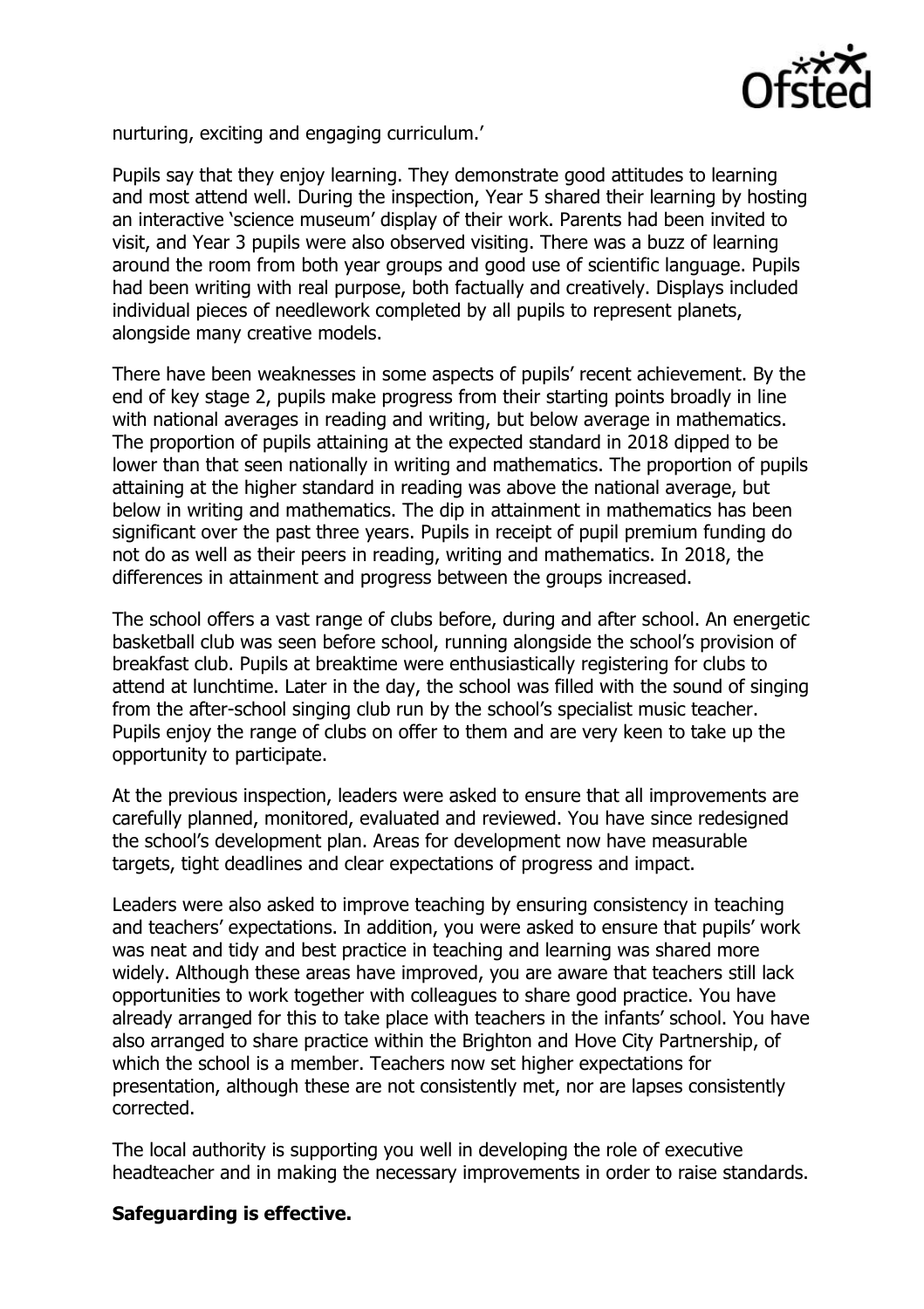

nurturing, exciting and engaging curriculum.'

Pupils say that they enjoy learning. They demonstrate good attitudes to learning and most attend well. During the inspection, Year 5 shared their learning by hosting an interactive 'science museum' display of their work. Parents had been invited to visit, and Year 3 pupils were also observed visiting. There was a buzz of learning around the room from both year groups and good use of scientific language. Pupils had been writing with real purpose, both factually and creatively. Displays included individual pieces of needlework completed by all pupils to represent planets, alongside many creative models.

There have been weaknesses in some aspects of pupils' recent achievement. By the end of key stage 2, pupils make progress from their starting points broadly in line with national averages in reading and writing, but below average in mathematics. The proportion of pupils attaining at the expected standard in 2018 dipped to be lower than that seen nationally in writing and mathematics. The proportion of pupils attaining at the higher standard in reading was above the national average, but below in writing and mathematics. The dip in attainment in mathematics has been significant over the past three years. Pupils in receipt of pupil premium funding do not do as well as their peers in reading, writing and mathematics. In 2018, the differences in attainment and progress between the groups increased.

The school offers a vast range of clubs before, during and after school. An energetic basketball club was seen before school, running alongside the school's provision of breakfast club. Pupils at breaktime were enthusiastically registering for clubs to attend at lunchtime. Later in the day, the school was filled with the sound of singing from the after-school singing club run by the school's specialist music teacher. Pupils enjoy the range of clubs on offer to them and are very keen to take up the opportunity to participate.

At the previous inspection, leaders were asked to ensure that all improvements are carefully planned, monitored, evaluated and reviewed. You have since redesigned the school's development plan. Areas for development now have measurable targets, tight deadlines and clear expectations of progress and impact.

Leaders were also asked to improve teaching by ensuring consistency in teaching and teachers' expectations. In addition, you were asked to ensure that pupils' work was neat and tidy and best practice in teaching and learning was shared more widely. Although these areas have improved, you are aware that teachers still lack opportunities to work together with colleagues to share good practice. You have already arranged for this to take place with teachers in the infants' school. You have also arranged to share practice within the Brighton and Hove City Partnership, of which the school is a member. Teachers now set higher expectations for presentation, although these are not consistently met, nor are lapses consistently corrected.

The local authority is supporting you well in developing the role of executive headteacher and in making the necessary improvements in order to raise standards.

# **Safeguarding is effective.**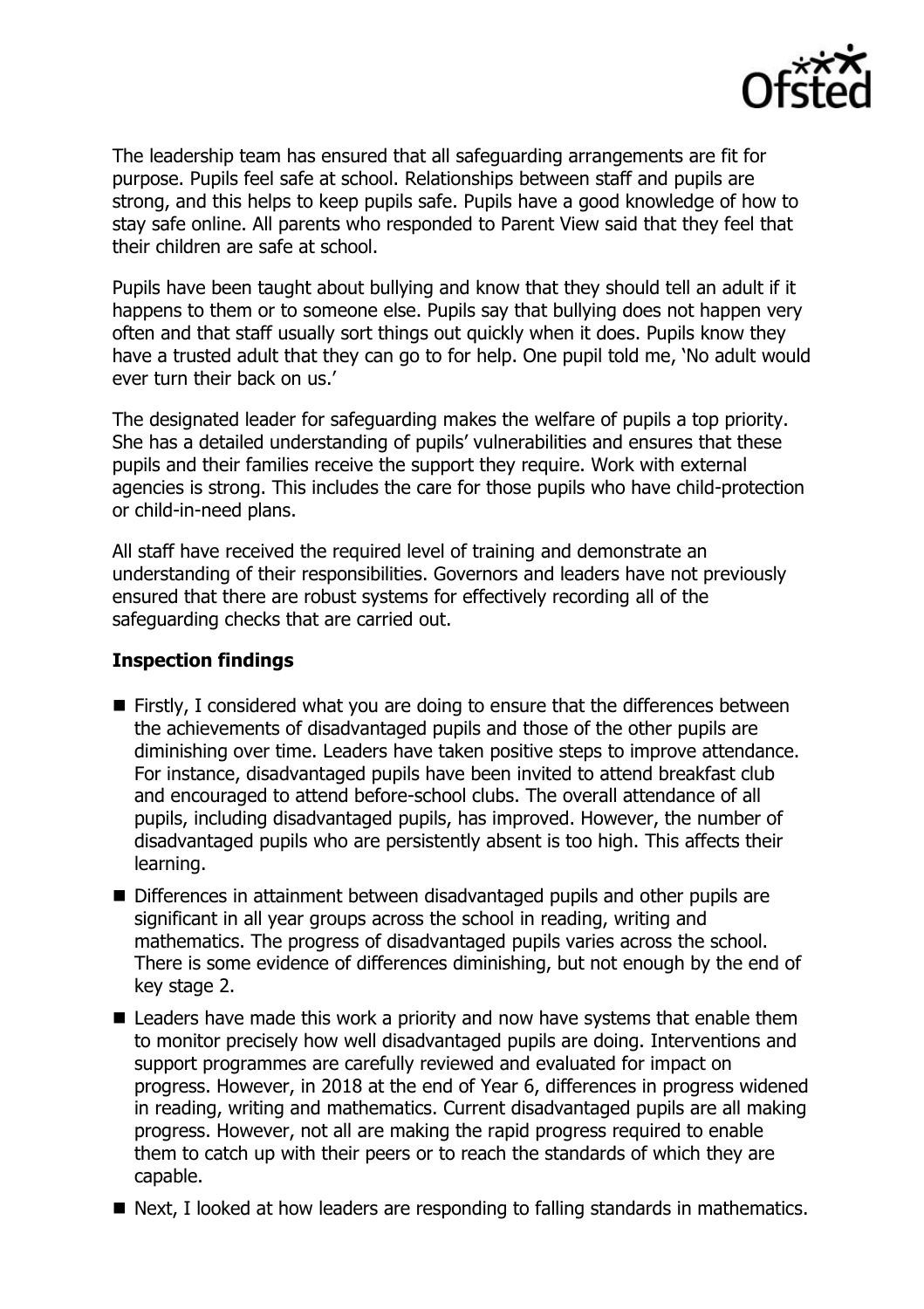

The leadership team has ensured that all safeguarding arrangements are fit for purpose. Pupils feel safe at school. Relationships between staff and pupils are strong, and this helps to keep pupils safe. Pupils have a good knowledge of how to stay safe online. All parents who responded to Parent View said that they feel that their children are safe at school.

Pupils have been taught about bullying and know that they should tell an adult if it happens to them or to someone else. Pupils say that bullying does not happen very often and that staff usually sort things out quickly when it does. Pupils know they have a trusted adult that they can go to for help. One pupil told me, 'No adult would ever turn their back on us.'

The designated leader for safeguarding makes the welfare of pupils a top priority. She has a detailed understanding of pupils' vulnerabilities and ensures that these pupils and their families receive the support they require. Work with external agencies is strong. This includes the care for those pupils who have child-protection or child-in-need plans.

All staff have received the required level of training and demonstrate an understanding of their responsibilities. Governors and leaders have not previously ensured that there are robust systems for effectively recording all of the safeguarding checks that are carried out.

## **Inspection findings**

- Firstly, I considered what you are doing to ensure that the differences between the achievements of disadvantaged pupils and those of the other pupils are diminishing over time. Leaders have taken positive steps to improve attendance. For instance, disadvantaged pupils have been invited to attend breakfast club and encouraged to attend before-school clubs. The overall attendance of all pupils, including disadvantaged pupils, has improved. However, the number of disadvantaged pupils who are persistently absent is too high. This affects their learning.
- Differences in attainment between disadvantaged pupils and other pupils are significant in all year groups across the school in reading, writing and mathematics. The progress of disadvantaged pupils varies across the school. There is some evidence of differences diminishing, but not enough by the end of key stage 2.
- Leaders have made this work a priority and now have systems that enable them to monitor precisely how well disadvantaged pupils are doing. Interventions and support programmes are carefully reviewed and evaluated for impact on progress. However, in 2018 at the end of Year 6, differences in progress widened in reading, writing and mathematics. Current disadvantaged pupils are all making progress. However, not all are making the rapid progress required to enable them to catch up with their peers or to reach the standards of which they are capable.
- Next, I looked at how leaders are responding to falling standards in mathematics.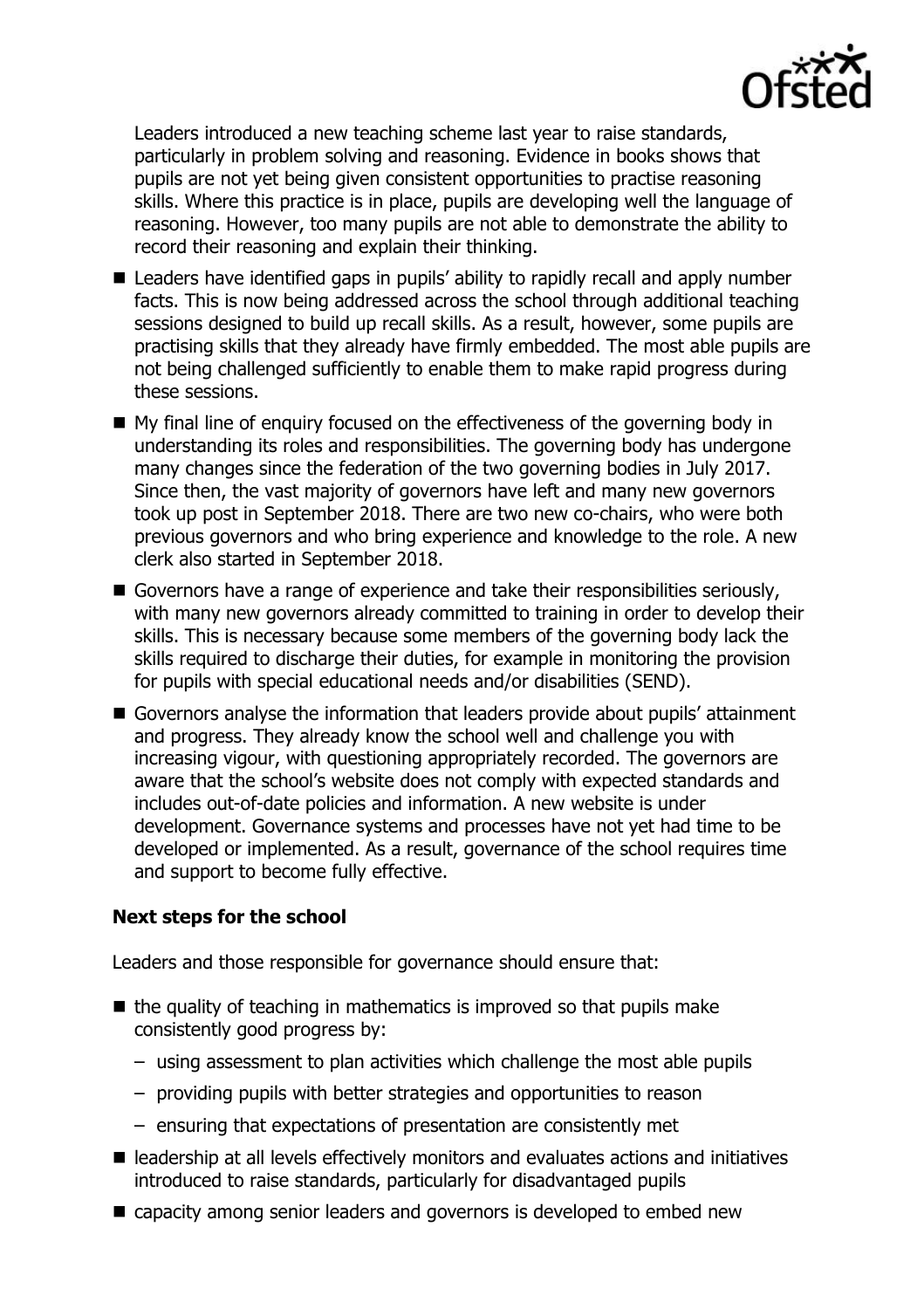

Leaders introduced a new teaching scheme last year to raise standards, particularly in problem solving and reasoning. Evidence in books shows that pupils are not yet being given consistent opportunities to practise reasoning skills. Where this practice is in place, pupils are developing well the language of reasoning. However, too many pupils are not able to demonstrate the ability to record their reasoning and explain their thinking.

- Leaders have identified gaps in pupils' ability to rapidly recall and apply number facts. This is now being addressed across the school through additional teaching sessions designed to build up recall skills. As a result, however, some pupils are practising skills that they already have firmly embedded. The most able pupils are not being challenged sufficiently to enable them to make rapid progress during these sessions.
- My final line of enquiry focused on the effectiveness of the governing body in understanding its roles and responsibilities. The governing body has undergone many changes since the federation of the two governing bodies in July 2017. Since then, the vast majority of governors have left and many new governors took up post in September 2018. There are two new co-chairs, who were both previous governors and who bring experience and knowledge to the role. A new clerk also started in September 2018.
- Governors have a range of experience and take their responsibilities seriously, with many new governors already committed to training in order to develop their skills. This is necessary because some members of the governing body lack the skills required to discharge their duties, for example in monitoring the provision for pupils with special educational needs and/or disabilities (SEND).
- Governors analyse the information that leaders provide about pupils' attainment and progress. They already know the school well and challenge you with increasing vigour, with questioning appropriately recorded. The governors are aware that the school's website does not comply with expected standards and includes out-of-date policies and information. A new website is under development. Governance systems and processes have not yet had time to be developed or implemented. As a result, governance of the school requires time and support to become fully effective.

### **Next steps for the school**

Leaders and those responsible for governance should ensure that:

- $\blacksquare$  the quality of teaching in mathematics is improved so that pupils make consistently good progress by:
	- using assessment to plan activities which challenge the most able pupils
	- providing pupils with better strategies and opportunities to reason
	- ensuring that expectations of presentation are consistently met
- leadership at all levels effectively monitors and evaluates actions and initiatives introduced to raise standards, particularly for disadvantaged pupils
- capacity among senior leaders and governors is developed to embed new